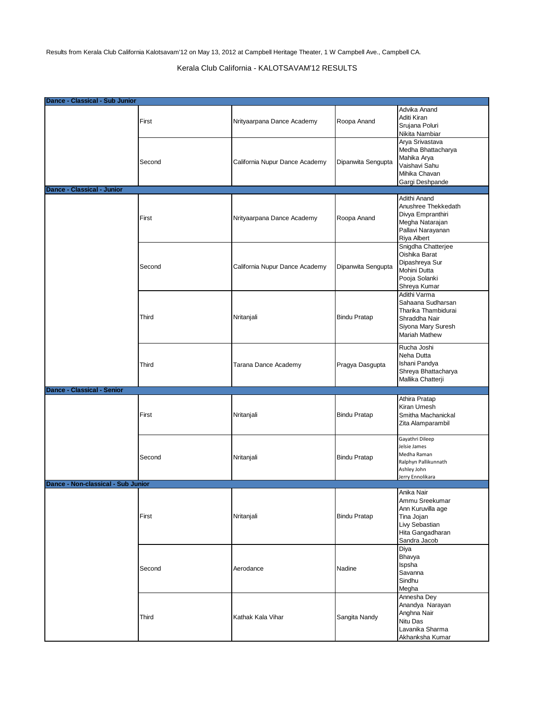Results from Kerala Club California Kalotsavam'12 on May 13, 2012 at Campbell Heritage Theater, 1 W Campbell Ave., Campbell CA.

## Kerala Club California - KALOTSAVAM'12 RESULTS

| Dance - Classical - Sub Junior     |        |                                |                     |                                                                                                                         |
|------------------------------------|--------|--------------------------------|---------------------|-------------------------------------------------------------------------------------------------------------------------|
|                                    | First  | Nrityaarpana Dance Academy     | Roopa Anand         | Advika Anand<br>Aditi Kiran<br>Srujana Poluri<br>Nikita Nambiar                                                         |
|                                    | Second | California Nupur Dance Academy | Dipanwita Sengupta  | Arya Srivastava<br>Medha Bhattacharya<br>Mahika Arya<br>Vaishavi Sahu<br>Mihika Chavan<br>Gargi Deshpande               |
| <b>Dance - Classical - Junior</b>  |        |                                |                     |                                                                                                                         |
|                                    | First  | Nrityaarpana Dance Academy     | Roopa Anand         | Adithi Anand<br>Anushree Thekkedath<br>Divya Empranthiri<br>Megha Natarajan<br>Pallavi Narayanan<br>Riya Albert         |
|                                    | Second | California Nupur Dance Academy | Dipanwita Sengupta  | Snigdha Chatterjee<br>Oishika Barat<br>Dipashreya Sur<br>Mohini Dutta<br>Pooja Solanki<br>Shreya Kumar                  |
|                                    | Third  | Nritanjali                     | <b>Bindu Pratap</b> | Adithi Varma<br>Sahaana Sudharsan<br>Tharika Thambidurai<br>Shraddha Nair<br>Siyona Mary Suresh<br><b>Mariah Mathew</b> |
|                                    | Third  | Tarana Dance Academy           | Pragya Dasgupta     | Rucha Joshi<br>Neha Dutta<br>Ishani Pandya<br>Shreya Bhattacharya<br>Mallika Chatterji                                  |
| Dance - Classical - Senior         |        |                                |                     |                                                                                                                         |
|                                    | First  | Nritanjali                     | <b>Bindu Pratap</b> | Athira Pratap<br>Kiran Umesh<br>Smitha Machanickal<br>Zita Alamparambil                                                 |
|                                    | Second | Nritanjali                     | <b>Bindu Pratap</b> | Gayathri Dileep<br>Jelsie James<br>Medha Raman<br>Ralphyn Pallikunnath<br>Ashley John<br>Jerry Ennolikara               |
| Dance - Non-classical - Sub Junior |        |                                |                     |                                                                                                                         |
|                                    | First  | Nritanjali                     | <b>Bindu Pratap</b> | Anika Nair<br>Ammu Sreekumar<br>Ann Kuruvilla age<br>Tina Jojan<br>Livy Sebastian<br>Hita Gangadharan<br>Sandra Jacob   |
|                                    | Second | Aerodance                      | Nadine              | Diya<br>Bhavya<br>Ispsha<br>Savanna<br>Sindhu<br>Megha                                                                  |
|                                    | Third  | Kathak Kala Vihar              | Sangita Nandy       | Annesha Dey<br>Anandya Narayan<br>Anghna Nair<br>Nitu Das<br>Lavanika Sharma<br>Akhanksha Kumar                         |